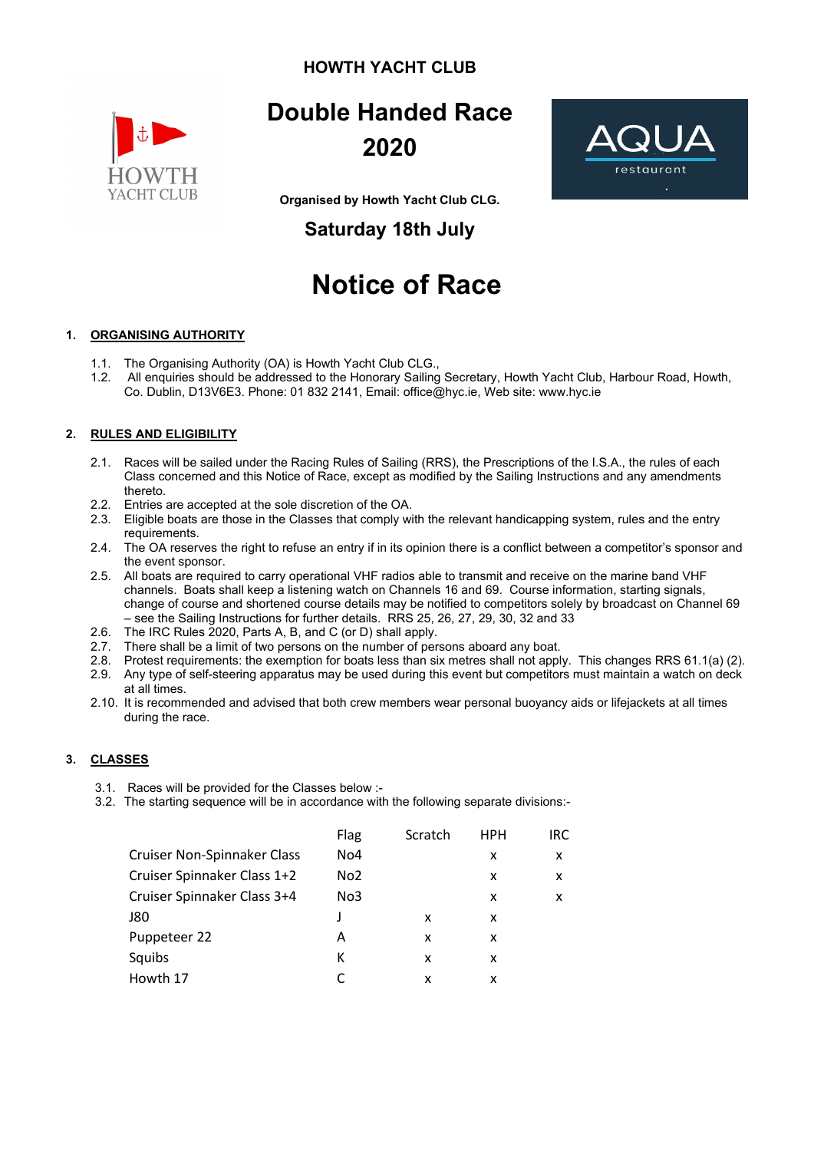#### **HOWTH YACHT CLUB**



## **Double Handed Race 2020**

**Organised by Howth Yacht Club CLG.**

### **Saturday 18th July**

# **Notice of Race**

#### **1. ORGANISING AUTHORITY**

- 1.1. The Organising Authority (OA) is Howth Yacht Club CLG.,
- 1.2. All enquiries should be addressed to the Honorary Sailing Secretary, Howth Yacht Club, Harbour Road, Howth, Co. Dublin, D13V6E3. Phone: 01 832 2141, Email: [office@hyc.ie,](mailto:office@hyc.ie) Web site: www[.hyc.ie](http://hyc.ie/)

#### **2. RULES AND ELIGIBILITY**

- 2.1. Races will be sailed under the Racing Rules of Sailing (RRS), the Prescriptions of the I.S.A., the rules of each Class concerned and this Notice of Race, except as modified by the Sailing Instructions and any amendments thereto.
- 2.2. Entries are accepted at the sole discretion of the OA.
- 2.3. Eligible boats are those in the Classes that comply with the relevant handicapping system, rules and the entry requirements.
- 2.4. The OA reserves the right to refuse an entry if in its opinion there is a conflict between a competitor's sponsor and the event sponsor.
- 2.5. All boats are required to carry operational VHF radios able to transmit and receive on the marine band VHF channels. Boats shall keep a listening watch on Channels 16 and 69. Course information, starting signals, change of course and shortened course details may be notified to competitors solely by broadcast on Channel 69 – see the Sailing Instructions for further details. RRS 25, 26, 27, 29, 30, 32 and 33
- 2.6. The IRC Rules 2020, Parts A, B, and C (or D) shall apply.
- 2.7. There shall be a limit of two persons on the number of persons aboard any boat.
- 2.8. Protest requirements: the exemption for boats less than six metres shall not apply. This changes RRS 61.1(a) (2).
- 2.9. Any type of self-steering apparatus may be used during this event but competitors must maintain a watch on deck at all times.
- 2.10. It is recommended and advised that both crew members wear personal buoyancy aids or lifejackets at all times during the race.

#### **3. CLASSES**

- 3.1. Races will be provided for the Classes below :-
- 3.2. The starting sequence will be in accordance with the following separate divisions:-

|                             | Flag            | Scratch | <b>HPH</b> | IRC |
|-----------------------------|-----------------|---------|------------|-----|
| Cruiser Non-Spinnaker Class | No <sub>4</sub> |         | x          | x   |
| Cruiser Spinnaker Class 1+2 | No <sub>2</sub> |         | x          | x   |
| Cruiser Spinnaker Class 3+4 | No3             |         | x          | x   |
| J80                         |                 | x       | x          |     |
| Puppeteer 22                | А               | x       | x          |     |
| Squibs                      | к               | x       | x          |     |
| Howth 17                    |                 | x       | x          |     |

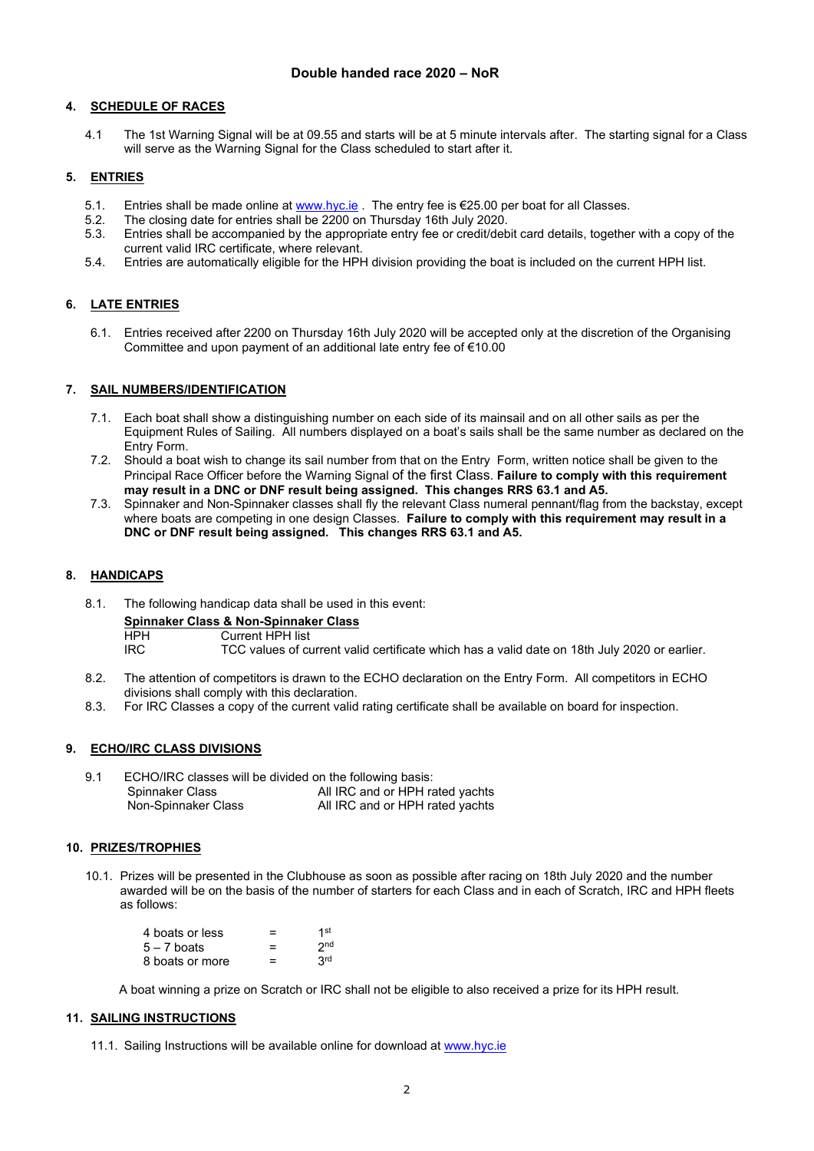#### **4. SCHEDULE OF RACES**

4.1 The 1st Warning Signal will be at 09.55 and starts will be at 5 minute intervals after. The starting signal for a Class will serve as the Warning Signal for the Class scheduled to start after it.

#### **5. ENTRIES**

- 5.1. Entries shall be made online at <u>[www.hyc.ie](http://www.hyc.ie/)</u> . The entry fee is €25.00 per boat for all Classes.<br>5.2. The closing date for entries shall be 2200 on Thursday 16th July 2020.
- 5.2. The closing date for entries shall be 2200 on Thursday 16th July 2020.
- 5.3. Entries shall be accompanied by the appropriate entry fee or credit/debit card details, together with a copy of the current valid IRC certificate, where relevant.
- 5.4. Entries are automatically eligible for the HPH division providing the boat is included on the current HPH list.

#### **6. LATE ENTRIES**

6.1. Entries received after 2200 on Thursday 16th July 2020 will be accepted only at the discretion of the Organising Committee and upon payment of an additional late entry fee of €10.00

#### **7. SAIL NUMBERS/IDENTIFICATION**

- 7.1. Each boat shall show a distinguishing number on each side of its mainsail and on all other sails as per the Equipment Rules of Sailing. All numbers displayed on a boat's sails shall be the same number as declared on the Entry Form.
- 7.2. Should a boat wish to change its sail number from that on the Entry Form, written notice shall be given to the Principal Race Officer before the Warning Signal of the first Class. **Failure to comply with this requirement may result in a DNC or DNF result being assigned. This changes RRS 63.1 and A5.**
- 7.3. Spinnaker and Non-Spinnaker classes shall fly the relevant Class numeral pennant/flag from the backstay, except where boats are competing in one design Classes. **Failure to comply with this requirement may result in a DNC or DNF result being assigned. This changes RRS 63.1 and A5.**

#### **8. HANDICAPS**

8.1. The following handicap data shall be used in this event:

**Spinnaker Class & Non-Spinnaker Class**

HPH Current HPH list<br>IRC TCC values of cu

- TCC values of current valid certificate which has a valid date on 18th July 2020 or earlier.
- 8.2. The attention of competitors is drawn to the ECHO declaration on the Entry Form. All competitors in ECHO divisions shall comply with this declaration.
- 8.3. For IRC Classes a copy of the current valid rating certificate shall be available on board for inspection.

#### **9. ECHO/IRC CLASS DIVISIONS**

9.1 ECHO/IRC classes will be divided on the following basis: Spinnaker Class **All IRC and or HPH rated yachts**<br>
Non-Spinnaker Class **All IRC and or HPH rated yachts** All IRC and or HPH rated yachts

#### **10. PRIZES/TROPHIES**

10.1. Prizes will be presented in the Clubhouse as soon as possible after racing on 18th July 2020 and the number awarded will be on the basis of the number of starters for each Class and in each of Scratch, IRC and HPH fleets as follows:

| 4 boats or less | ⋍ | 1st             |
|-----------------|---|-----------------|
| $5 - 7$ boats   | = | 2 <sub>nd</sub> |
| 8 boats or more | = | 3 <sup>rd</sup> |

A boat winning a prize on Scratch or IRC shall not be eligible to also received a prize for its HPH result.

#### **11. SAILING INSTRUCTIONS**

11.1. Sailing Instructions will be available online for download at [www.hyc.ie](http://www.hyc.ie/)